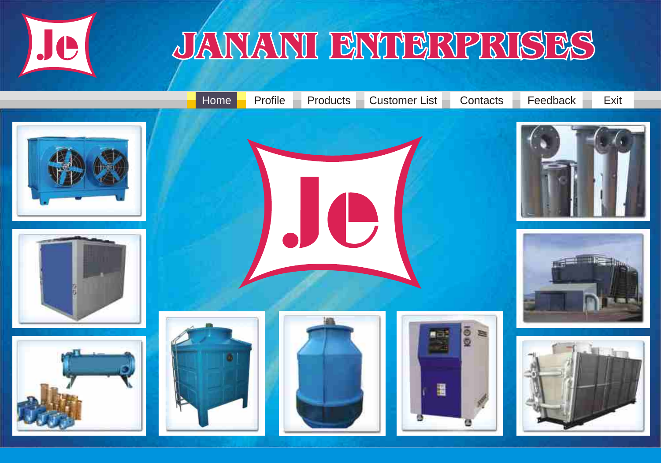<span id="page-0-0"></span>

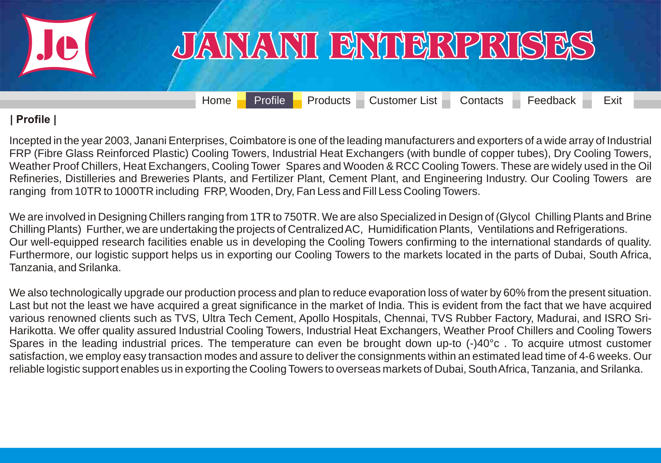<span id="page-1-0"></span>

[Home](#page-0-0) **[Profile](#page-1-0) [Products](#page-2-0) [Customer List](#page-33-0) [Contacts](#page-35-0) [Feedback](#page-36-0) Exit** 

#### **| Profile |**

Incepted in the year 2003, Janani Enterprises, Coimbatore is one of the leading manufacturers and exporters of a wide array of Industrial FRP (Fibre Glass Reinforced Plastic) Cooling Towers, Industrial Heat Exchangers (with bundle of copper tubes), Dry Cooling Towers, Weather Proof Chillers, Heat Exchangers, Cooling Tower Spares and Wooden & RCC Cooling Towers. These are widely used in the Oil Refineries, Distilleries and Breweries Plants, and Fertilizer Plant, Cement Plant, and Engineering Industry. Our Cooling Towers are ranging from 10TR to 1000TR including FRP, Wooden, Dry, Fan Less and Fill Less Cooling Towers.

We are involved in Designing Chillers ranging from 1TR to 750TR. We are also Specialized in Design of (Glycol Chilling Plants and Brine Chilling Plants) Further, we are undertaking the projects of Centralized AC, Humidification Plants, Ventilations and Refrigerations. Our well-equipped research facilities enable us in developing the Cooling Towers confirming to the international standards of quality. Furthermore, our logistic support helps us in exporting our Cooling Towers to the markets located in the parts of Dubai, South Africa, Tanzania, and Srilanka.

We also technologically upgrade our production process and plan to reduce evaporation loss of water by 60% from the present situation. Last but not the least we have acquired a great significance in the market of India. This is evident from the fact that we have acquired various renowned clients such as TVS, Ultra Tech Cement, Apollo Hospitals, Chennai, TVS Rubber Factory, Madurai, and ISRO Sri-Harikotta. We offer quality assured Industrial Cooling Towers, Industrial Heat Exchangers, Weather Proof Chillers and Cooling Towers Spares in the leading industrial prices. The temperature can even be brought down up-to (-)40°c . To acquire utmost customer [satisfaction, we employ easy transaction modes and assure to deliver the consignments within an estimated lead time of 4-6 weeks. Our](#page-1-0)  reliable logistic support enables us in exporting the Cooling Towers to overseas markets of Dubai, South Africa, Tanzania, and Srilanka.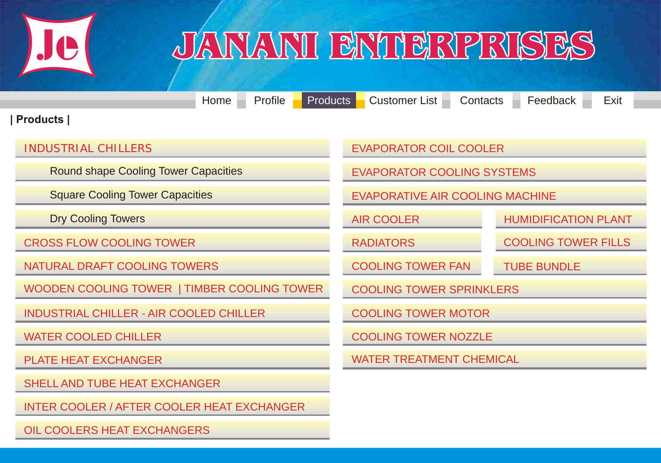<span id="page-2-0"></span>

**| Products |** [Home](#page-0-0) [Profile](#page-1-0) [Products](#page-2-0) [Customer List](#page-33-0) [Contacts](#page-35-0) [Feedback](#page-36-0) Exit [INDUSTRIAL CHILLERS](#page-3-0) [Round shape Cooling Tower Capacities](#page-4-0)  [Square Cooling Tower Capacities](#page-6-0)  [Dry Cooling Towers](#page-8-0)  [CROSS FLOW COOLING TOWER](#page-9-0) [NATURAL DRAFT COOLING TOWERS](#page-10-0)  [WOODEN COOLING TOWER | TIMBER COOLING TOWER](#page-2-0) [INDUSTRIAL CHILLER - AIR COOLED CHILLER](#page-14-0) [WATER COOLED CHILLER](#page-17-0)  [PLATE HEAT EXCHANGER](#page-19-0) [SHELL AND TUBE HEAT EXCHANGER](#page-20-0) [INTER COOLER / AFTER COOLER HEAT EXCHANGER](#page-21-0) [EVAPORATOR COIL COOLER](#page-24-0) [TUBE BUNDLE](#page-30-0) [EVAPORATOR COOLING SYSTEMS](#page-25-0) [EVAPORATIVE AIR COOLING MACHINE](#page-26-0) [AIR COOLER](#page-27-0) **[HUMIDIFICATION PLANT](#page-27-0)** [RADIATORS](#page-28-0) [COOLING TOWER FILLS](#page-29-0) [COOLING TOWER FAN](#page-29-0) [COOLING TOWER SPRINKLERS](#page-30-0) [COOLING TOWER MOTOR](#page-31-0) [COOLING TOWER NOZZLE](#page-31-0) [WATER TREATMENT CHEMICAL](#page-32-0)

[OIL COOLERS HEAT EXCHANGERS](#page-23-0)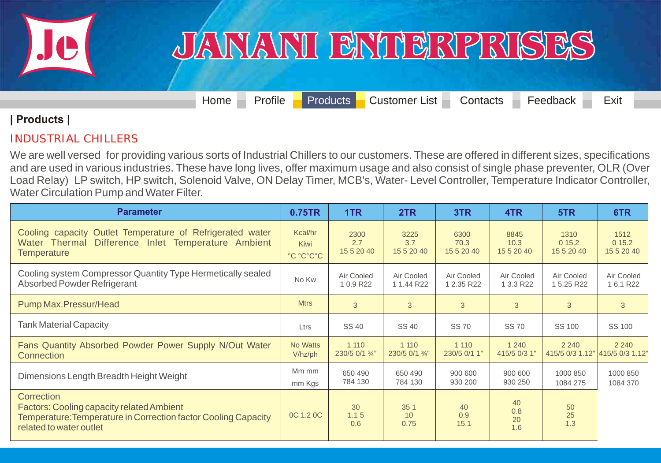<span id="page-3-0"></span>

[Home](#page-0-0) [Profile](#page-1-0) [Products](#page-2-0) [Customer List](#page-33-0) [Contacts](#page-35-0) [Feedback](#page-36-0) Exit

#### **| Products |**

#### INDUSTRIAL CHILLERS

[We are well versed for providing various sorts of Industrial Chillers to our customers. These are offered in different sizes, specifications](#page-3-0)  and are used in various industries. These have long lives, offer maximum usage and also consist of single phase preventer, OLR (Over Load Relay) LP switch, HP switch, Solenoid Valve, ON Delay Timer, MCB's, Water- Level Controller, Temperature Indicator Controller, Water Circulation Pump and Water Filter.

| <b>Parameter</b>                                                                                                                                            | 0.75TR                       | 1TR                       | 2TR                       | 3TR                        | 4TR                        | 5TR                                        | 6TR                         |
|-------------------------------------------------------------------------------------------------------------------------------------------------------------|------------------------------|---------------------------|---------------------------|----------------------------|----------------------------|--------------------------------------------|-----------------------------|
| Cooling capacity Outlet Temperature of Refrigerated water<br>Difference Inlet Temperature Ambient<br>Water Thermal<br><b>Temperature</b>                    | Kcal/hr<br>Kiwi<br>°C °C°C°C | 2300<br>2.7<br>15 5 20 40 | 3225<br>3.7<br>15 5 20 40 | 6300<br>70.3<br>15 5 20 40 | 8845<br>10.3<br>15 5 20 40 | 1310<br>015.2<br>15 5 20 40                | 1512<br>015.2<br>15 5 20 40 |
| Cooling system Compressor Quantity Type Hermetically sealed<br>Absorbed Powder Refrigerant                                                                  | No Kw                        | Air Cooled<br>1 0.9 R22   | Air Cooled<br>1 1.44 R22  | Air Cooled<br>1 2.35 R22   | Air Cooled<br>1 3.3 R22    | Air Cooled<br>1 5.25 R22                   | Air Cooled<br>1 6.1 R22     |
| Pump Max.Pressur/Head                                                                                                                                       | <b>Mtrs</b>                  | 3                         | 3                         | 3                          | 3                          | 3                                          | 3                           |
| <b>Tank Material Capacity</b>                                                                                                                               | Ltrs                         | <b>SS 40</b>              | <b>SS 40</b>              | <b>SS 70</b>               | <b>SS 70</b>               | SS 100                                     | SS 100                      |
| Fans Quantity Absorbed Powder Power Supply N/Out Water<br>Connection                                                                                        | No Watts<br>$V/hz$ /ph       | 1 1 1 0<br>230/5 0/1 3/4" | 1 1 1 0<br>230/5 0/1 3/4" | 1 1 1 0<br>230/5 0/1 1"    | 1 2 4 0<br>415/5 0/3 1"    | 2 2 4 0<br>415/5 0/3 1.12" 415/5 0/3 1.12" | 2 2 4 0                     |
| Dimensions Length Breadth Height Weight                                                                                                                     | Mm mm<br>mm Kgs              | 650 490<br>784 130        | 650 490<br>784 130        | 900 600<br>930 200         | 900 600<br>930 250         | 1000 850<br>1084 275                       | 1000 850<br>1084 370        |
| Correction<br><b>Factors: Cooling capacity related Ambient</b><br>Temperature: Temperature in Correction factor Cooling Capacity<br>related to water outlet | <b>OC 1.2 OC</b>             | 30<br>1.15<br>0.6         | 35 1<br>10<br>0.75        | 40<br>0.9<br>15.1          | 40<br>0.8<br>20<br>1.6     | 50<br>25<br>1.3                            |                             |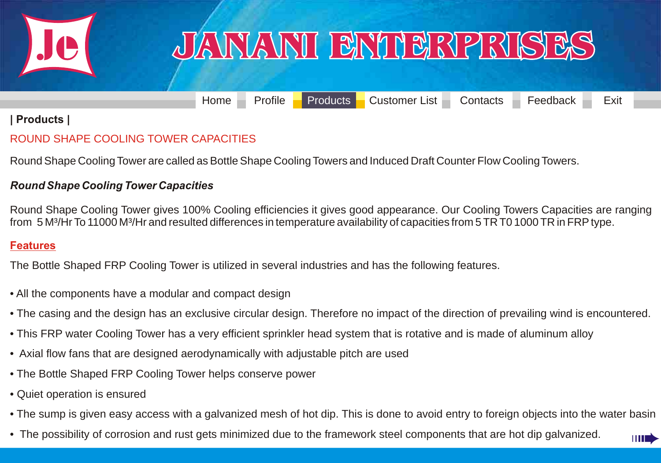<span id="page-4-0"></span>

## JANANI BNIBRPRISES

[Home](#page-0-0) [Profile](#page-1-0) [Products](#page-2-0) [Customer List](#page-33-0) [Contacts](#page-35-0) [Feedback](#page-36-0) Exit

#### **| Products |**

#### ROUND SHAPE COOLING TOWER CAPACITIES

Round Shape Cooling Tower are called as Bottle Shape Cooling Towers and Induced Draft Counter Flow Cooling Towers.

#### *Round Shape Cooling Tower Capacities*

Round Shape Cooling Tower gives 100% Cooling efficiencies it gives good appearance. Our Cooling Towers Capacities are ranging from 5 M<sup>3</sup>/Hr To 11000 M<sup>3</sup>/Hr and resulted differences in temperature availability of capacities from 5 TR T0 1000 TR in FRP type.

#### **Features**

The Bottle Shaped FRP Cooling Tower is utilized in several industries and has the following features.

- All the components have a modular and compact design
- The casing and the design has an exclusive circular design. Therefore no impact of the direction of prevailing wind is encountered.
- This FRP water Cooling Tower has a very efficient sprinkler head system that is rotative and is made of aluminum alloy
- Axial flow fans that are designed aerodynamically with adjustable pitch are used
- The Bottle Shaped FRP Cooling Tower helps conserve power
- Quiet operation is ensured
- [The sump is given easy access with a galvanized mesh of hot dip. This is done to avoid entry to foreign objects into the water basin](#page-4-0)
- The possibility of corrosion and rust gets minimized due to the framework steel components that are hot dip galvanized.

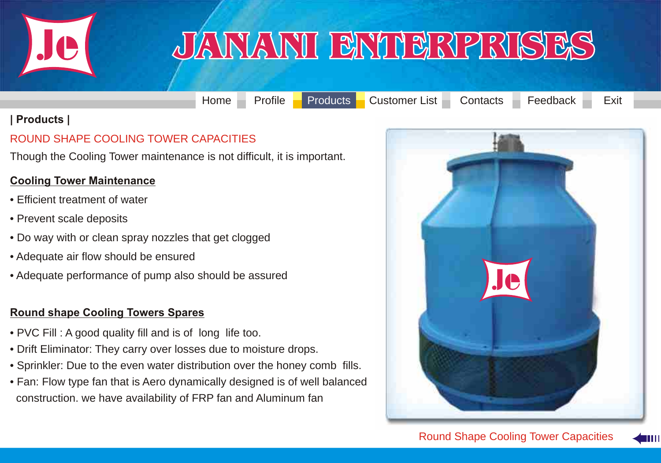<span id="page-5-0"></span>

[Home](#page-0-0) [Profile](#page-1-0) [Products](#page-2-0) [Customer List](#page-33-0) [Contacts](#page-35-0) [Feedback](#page-36-0) Exit

#### **| Products |**

#### ROUND SHAPE COOLING TOWER CAPACITIES

Though the Cooling Tower maintenance is not difficult, it is important.

#### **Cooling Tower Maintenance**

- Efficient treatment of water
- Prevent scale deposits
- Do way with or clean spray nozzles that get clogged
- Adequate air flow should be ensured
- Adequate performance of pump also should be assured

#### **Round shape Cooling Towers Spares**

- PVC Fill : A good quality fill and is of long life too.
- Drift Eliminator: They carry over losses due to moisture drops.
- Sprinkler: Due to the even water distribution over the honey comb fills.
- [Fan: Flow type fan that is Aero dynamically designed is of well balanced](#page-5-0)  construction. we have availability of FRP fan and Aluminum fan



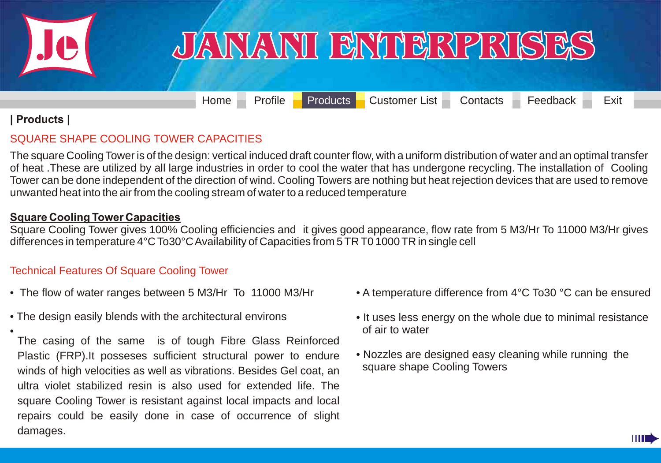<span id="page-6-0"></span>

[Home](#page-0-0) [Profile](#page-1-0) [Products](#page-2-0) [Customer List](#page-33-0) [Contacts](#page-35-0) [Feedback](#page-36-0) Exit

#### **| Products |**

#### SQUARE SHAPE COOLING TOWER CAPACITIES

The square Cooling Tower is of the design: vertical induced draft counter flow, with a uniform distribution of water and an optimal transfer [of heat .These are utilized by all large industries in order to cool the water that has undergone recycling. The installation of Cooling](#page-6-0)  Tower can be done independent of the direction of wind. Cooling Towers are nothing but heat rejection devices that are used to remove unwanted heat into the air from the cooling stream of water to a reduced temperature

#### **Square Cooling Tower Capacities**

Square Cooling Tower gives 100% Cooling efficiencies and it gives good appearance, flow rate from 5 M3/Hr To 11000 M3/Hr gives differences in temperature 4°C To30°C Availability of Capacities from 5 TR T0 1000 TR in single cell

#### Technical Features Of Square Cooling Tower

- The flow of water ranges between 5 M3/Hr To 11000 M3/Hr
- The design easily blends with the architectural environs

• The casing of the same is of tough Fibre Glass Reinforced Plastic (FRP).It posseses sufficient structural power to endure winds of high velocities as well as vibrations. Besides Gel coat, an ultra violet stabilized resin is also used for extended life. The square Cooling Tower is resistant against local impacts and local repairs could be easily done in case of occurrence of slight damages.

- A temperature difference from 4°C To30 °C can be ensured
- It uses less energy on the whole due to minimal resistance of air to water
- Nozzles are designed easy cleaning while running the square shape Cooling Towers

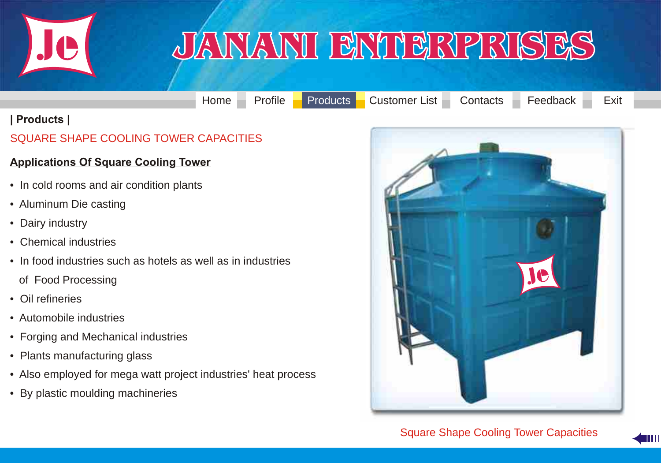<span id="page-7-0"></span>

[Home](#page-0-0) [Profile](#page-1-0) [Products](#page-2-0) [Customer List](#page-33-0) [Contacts](#page-35-0) [Feedback](#page-36-0) Exit

#### **| Products |**

#### SQUARE SHAPE COOLING TOWER CAPACITIES

#### **Applications Of Square Cooling Tower**

- In cold rooms and air condition plants
- Aluminum Die casting
- Dairy industry
- Chemical industries
- In food industries such as hotels as well as in industries
	- of Food Processing
- Oil refineries
- Automobile industries
- Forging and Mechanical industries
- Plants manufacturing glass
- [Also employed for mega watt project industries' heat process](#page-7-0)
- By plastic moulding machineries



Square Shape Cooling Tower Capacities

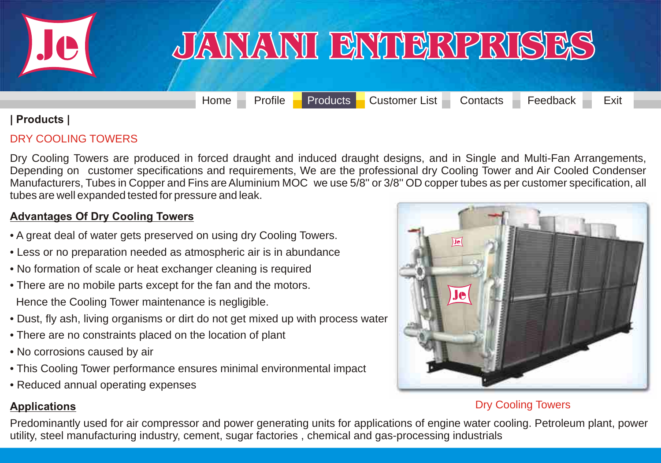<span id="page-8-0"></span>

[Home](#page-0-0) [Profile](#page-1-0) [Products](#page-2-0) [Customer List](#page-33-0) [Contacts](#page-35-0) [Feedback](#page-36-0) Exit

#### **| Products |**

#### DRY COOLING TOWERS

Dry Cooling Towers are produced in forced draught and induced draught designs, and in Single and Multi-Fan Arrangements, Depending on customer specifications and requirements, We are the professional dry Cooling Tower and Air Cooled Condenser Manufacturers, Tubes in Copper and Fins are Aluminium MOC we use 5/8'' or 3/8'' OD copper tubes as per customer specification, all tubes are well expanded tested for pressure and leak.

#### **Advantages Of Dry Cooling Towers**

- A great deal of water gets preserved on using dry Cooling Towers.
- Less or no preparation needed as atmospheric air is in abundance
- No formation of scale or heat exchanger cleaning is required
- There are no mobile parts except for the fan and the motors. Hence the Cooling Tower maintenance is negligible.
- Dust, fly ash, living organisms or dirt do not get mixed up with process water
- There are no constraints placed on the location of plant
- No corrosions caused by air
- This Cooling Tower performance ensures minimal environmental impact
- Reduced annual operating expenses



### **Applications** Dry Cooling Towers

[Predominantly used for air compressor and power generating units for applications of engine water cooling. Petroleum plant, power](#page-8-0)  utility, steel manufacturing industry, cement, sugar factories , chemical and gas-processing industrials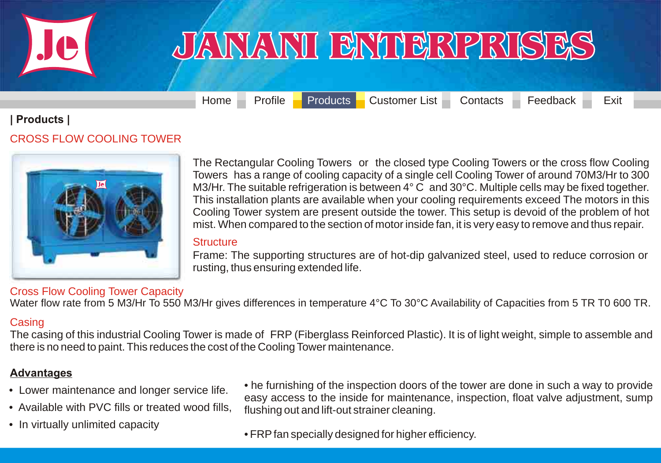<span id="page-9-0"></span>

[Home](#page-0-0) [Profile](#page-1-0) [Products](#page-2-0) [Customer List](#page-33-0) [Contacts](#page-35-0) [Feedback](#page-36-0) Exit

#### **| Products |**

#### CROSS FLOW COOLING TOWER



The Rectangular Cooling Towers or the closed type Cooling Towers or the cross flow Cooling Towers has a range of cooling capacity of a single cell Cooling Tower of around 70M3/Hr to 300 M3/Hr. The suitable refrigeration is between 4° C and 30°C. Multiple cells may be fixed together. This installation plants are available when your cooling requirements exceed The motors in this Cooling Tower system are present outside the tower. This setup is devoid of the problem of hot mist. When compared to the section of motor inside fan, it is very easy to remove and thus repair.

#### **Structure**

Frame: The supporting structures are of hot-dip galvanized steel, used to reduce corrosion or rusting, thus ensuring extended life.

#### Cross Flow Cooling Tower Capacity

Water flow rate from 5 M3/Hr To 550 M3/Hr gives differences in temperature 4°C To 30°C Availability of Capacities from 5 TR T0 600 TR.

#### **Casing**

[The casing of this industrial Cooling Tower is made of FRP \(Fiberglass Reinforced Plastic\). It is of light weight, simple to assemble and](#page-9-0)  there is no need to paint. This reduces the cost of the Cooling Tower maintenance.

#### **Advantages**

- Lower maintenance and longer service life.
- Available with PVC fills or treated wood fills,
- In virtually unlimited capacity

• he furnishing of the inspection doors of the tower are done in such a way to provide easy access to the inside for maintenance, inspection, float valve adjustment, sump flushing out and lift-out strainer cleaning.

• FRP fan specially designed for higher efficiency.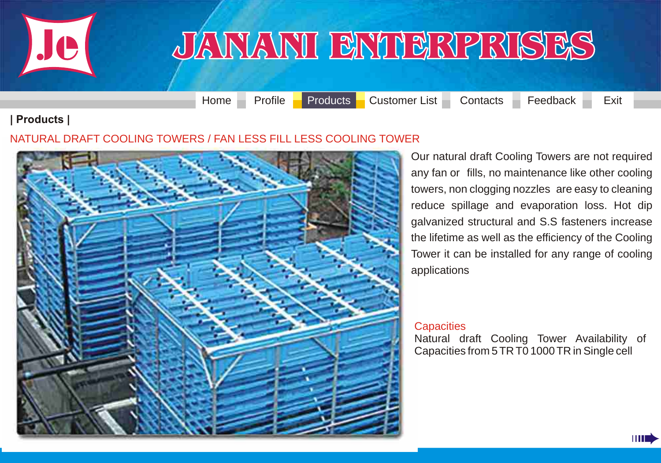<span id="page-10-0"></span>

[Home](#page-0-0) [Profile](#page-1-0) [Products](#page-2-0) [Customer List](#page-33-0) [Contacts](#page-35-0) [Feedback](#page-36-0) Exit

#### **| Products |**

#### [NATURAL DRAFT COOLING TOWERS / FAN LESS FILL LESS COOLING TOWER](#page-10-0)



Our natural draft Cooling Towers are not required any fan or fills, no maintenance like other cooling towers, non clogging nozzles are easy to cleaning reduce spillage and evaporation loss. Hot dip galvanized structural and S.S fasteners increase the lifetime as well as the efficiency of the Cooling Tower it can be installed for any range of cooling applications

#### **Capacities**

Natural draft Cooling Tower Availability of Capacities from 5 TR T0 1000 TR in Single cell

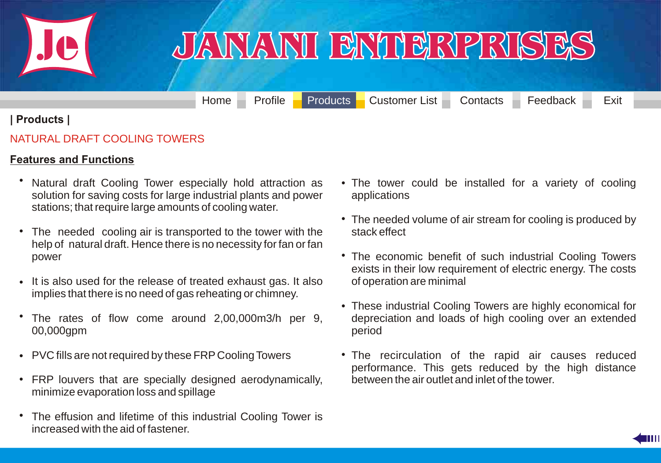<span id="page-11-0"></span>

### <u>JANANI ENTERPRISES</u>

[Home](#page-0-0) [Profile](#page-1-0) [Products](#page-2-0) [Customer List](#page-33-0) [Contacts](#page-35-0) [Feedback](#page-36-0) Exit

#### **| Products |**

#### NATURAL DRAFT COOLING TOWERS

#### **Features and Functions**

- Natural draft Cooling Tower especially hold attraction as solution for saving costs for large industrial plants and power stations; that require large amounts of cooling water. •
- The needed cooling air is transported to the tower with the help of natural draft. Hence there is no necessity for fan or fan power •
- It is also used for the release of treated exhaust gas. It also implies that there is no need of gas reheating or chimney.
- The rates of flow come around 2,00,000m3/h per 9, 00,000gpm •
- PVC fills are not required by these FRP Cooling Towers •
- FRP louvers that are specially designed aerodynamically, minimize evaporation loss and spillage
- [The effusion and lifetime of this industrial Cooling Tower is](#page-11-0)  increased with the aid of fastener. •
- The tower could be installed for a variety of cooling applications
- The needed volume of air stream for cooling is produced by stack effect
- The economic benefit of such industrial Cooling Towers exists in their low requirement of electric energy. The costs of operation are minimal
- These industrial Cooling Towers are highly economical for depreciation and loads of high cooling over an extended period
- The recirculation of the rapid air causes reduced performance. This gets reduced by the high distance between the air outlet and inlet of the tower.

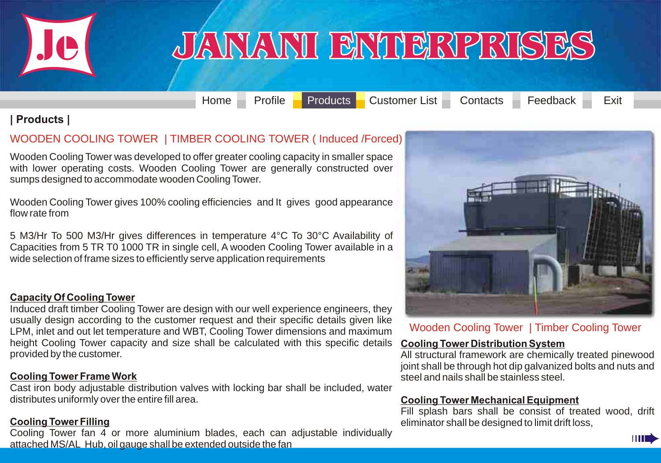<span id="page-12-0"></span>

[Home](#page-0-0) [Profile](#page-1-0) [Products](#page-2-0) [Customer List](#page-33-0) [Contacts](#page-35-0) [Feedback](#page-36-0) Exit

#### **| Products |**

#### [WOODEN COOLING TOWER | TIMBER COOLING TOWER \( Induced /Forced\)](#page-12-0)

Wooden Cooling Tower was developed to offer greater cooling capacity in smaller space with lower operating costs. Wooden Cooling Tower are generally constructed over sumps designed to accommodate wooden Cooling Tower.

Wooden Cooling Tower gives 100% cooling efficiencies and It gives good appearance flow rate from

5 M3/Hr To 500 M3/Hr gives differences in temperature 4°C To 30°C Availability of Capacities from 5 TR T0 1000 TR in single cell, A wooden Cooling Tower available in a wide selection of frame sizes to efficiently serve application requirements

#### **Capacity Of Cooling Tower**

Induced draft timber Cooling Tower are design with our well experience engineers, they usually design according to the customer request and their specific details given like LPM, inlet and out let temperature and WBT, Cooling Tower dimensions and maximum height Cooling Tower capacity and size shall be calculated with this specific details provided by the customer.

#### **Cooling Tower Frame Work**

Cast iron body adjustable distribution valves with locking bar shall be included, water distributes uniformly over the entire fill area.

#### **Cooling Tower Filling**

Cooling Tower fan 4 or more aluminium blades, each can adjustable individually attached MS/AL Hub, oil gauge shall be extended outside the fan



Wooden Cooling Tower | Timber Cooling Tower

#### **Cooling Tower Distribution System**

All structural framework are chemically treated pinewood joint shall be through hot dip galvanized bolts and nuts and steel and nails shall be stainless steel.

#### **Cooling Tower Mechanical Equipment**

Fill splash bars shall be consist of treated wood, drift eliminator shall be designed to limit drift loss,

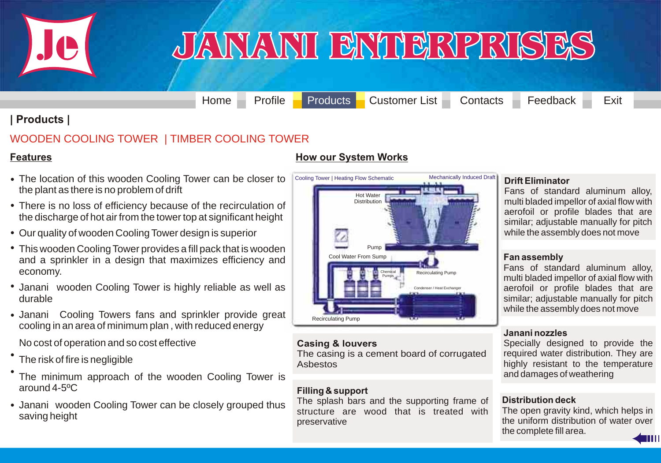<span id="page-13-0"></span>

### JANANI BNIBRPRISES

[Home](#page-0-0) [Profile](#page-1-0) [Products](#page-2-0) [Customer List](#page-33-0) [Contacts](#page-35-0) [Feedback](#page-36-0) Exit

#### **| Products |**

#### [WOODEN COOLING TOWER | TIMBER COOLING TOWER](#page-13-0)

#### **Features**

- The location of this wooden Cooling Tower can be closer to the plant as there is no problem of drift
- There is no loss of efficiency because of the recirculation of the discharge of hot air from the tower top at significant height
- Our quality of wooden Cooling Tower design is superior •
- This wooden Cooling Tower provides a fill pack that is wooden and a sprinkler in a design that maximizes efficiency and economy.
- Janani wooden Cooling Tower is highly reliable as well as durable
- Janani Cooling Towers fans and sprinkler provide great cooling in an area of minimum plan , with reduced energy
- No cost of operation and so cost effective
- The risk of fire is negligible
- The minimum approach of the wooden Cooling Tower is around 4-5ºC •
- Janani wooden Cooling Tower can be closely grouped thus saving height

#### **How our System Works**



#### **Casing & louvers**

The casing is a cement board of corrugated Asbestos

#### **Filling & support**

The splash bars and the supporting frame of structure are wood that is treated with preservative

#### **Drift Eliminator**

Fans of standard aluminum alloy, multi bladed impellor of axial flow with aerofoil or profile blades that are similar; adjustable manually for pitch while the assembly does not move

#### **Fan assembly**

Fans of standard aluminum alloy, multi bladed impellor of axial flow with aerofoil or profile blades that are similar; adjustable manually for pitch while the assembly does not move

#### **Janani nozzles**

Specially designed to provide the required water distribution. They are highly resistant to the temperature and damages of weathering

#### **Distribution deck**

The open gravity kind, which helps in the uniform distribution of water over the complete fill area.

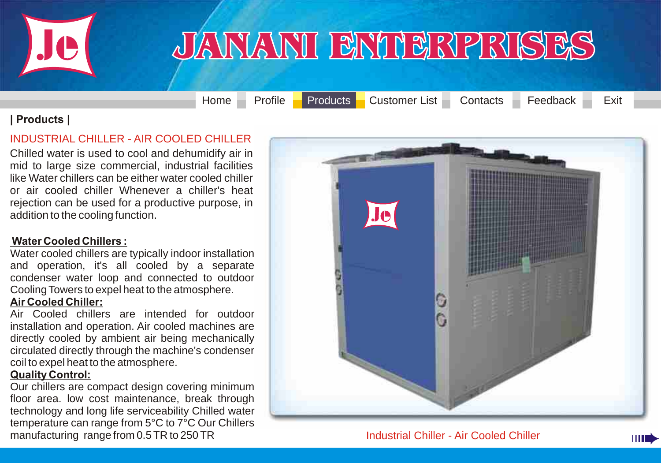<span id="page-14-0"></span>

### JANANI BNIBRPRISES

[Home](#page-0-0) [Profile](#page-1-0) [Products](#page-2-0) [Customer List](#page-33-0) [Contacts](#page-35-0) [Feedback](#page-36-0) Exit

HH I

#### **| Products |**

#### INDUSTRIAL CHILLER - AIR COOLED CHILLER

Chilled water is used to cool and dehumidify air in mid to large size commercial, industrial facilities [like Water chillers can be either water cooled chiller](#page-14-0)  or air cooled chiller Whenever a chiller's heat rejection can be used for a productive purpose, in addition to the cooling function.

#### **Water Cooled Chillers :**

Water cooled chillers are typically indoor installation and operation, it's all cooled by a separate condenser water loop and connected to outdoor Cooling Towers to expel heat to the atmosphere.

#### **Air Cooled Chiller:**

Air Cooled chillers are intended for outdoor installation and operation. Air cooled machines are directly cooled by ambient air being mechanically circulated directly through the machine's condenser coil to expel heat to the atmosphere.

#### **Quality Control:**

Our chillers are compact design covering minimum floor area. low cost maintenance, break through technology and long life serviceability Chilled water temperature can range from 5°C to 7°C Our Chillers manufacturing range from 0.5 TR to 250 TR Industrial Chiller - Air Cooled Chiller

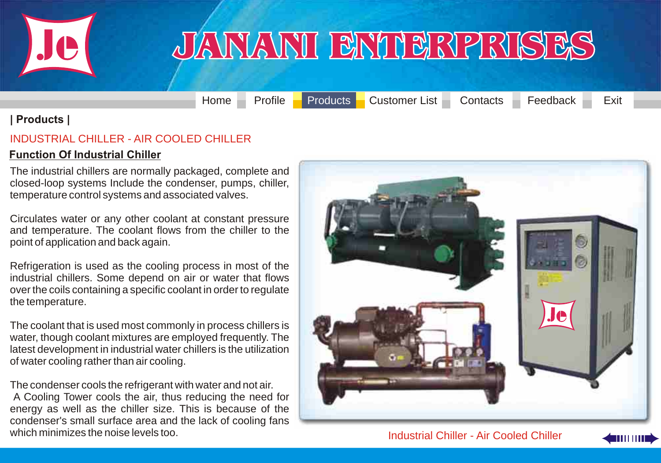<span id="page-15-0"></span>

[Home](#page-0-0) [Profile](#page-1-0) [Products](#page-2-0) [Customer List](#page-33-0) [Contacts](#page-35-0) [Feedback](#page-36-0) Exit

#### **| Products |**

#### INDUSTRIAL CHILLER - AIR COOLED CHILLER

#### **Function Of Industrial Chiller**

The industrial chillers are normally packaged, complete and closed-loop systems Include the condenser, pumps, chiller, temperature control systems and associated valves.

Circulates water or any other coolant at constant pressure and temperature. The coolant flows from the chiller to the point of application and back again.

Refrigeration is used as the cooling process in most of the [industrial chillers. Some depend on air or water that flows](#page-15-0)  over the coils containing a specific coolant in order to regulate the temperature.

The coolant that is used most commonly in process chillers is water, though coolant mixtures are employed frequently. The latest development in industrial water chillers is the utilization of water cooling rather than air cooling.

The condenser cools the refrigerant with water and not air. A Cooling Tower cools the air, thus reducing the need for energy as well as the chiller size. This is because of the condenser's small surface area and the lack of cooling fans which minimizes the noise levels too. Industrial Chiller - Air Cooled Chiller



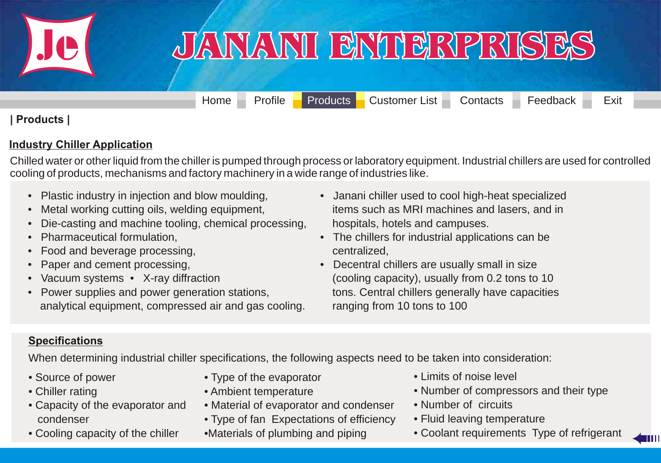<span id="page-16-0"></span>

[Home](#page-0-0) [Profile](#page-1-0) [Products](#page-2-0) [Customer List](#page-33-0) [Contacts](#page-35-0) [Feedback](#page-36-0) Exit

#### **| Products |**

#### **Industry Chiller Application**

[Chilled water or other liquid from the chiller is pumped through process or laboratory equipment. Industrial chillers are used for controlled](#page-16-0)  cooling of products, mechanisms and factory machinery in a wide range of industries like.

- Plastic industry in injection and blow moulding,
- Metal working cutting oils, welding equipment,
- Die-casting and machine tooling, chemical processing,
- Pharmaceutical formulation,
- Food and beverage processing,
- Paper and cement processing,
- Vacuum systems X-ray diffraction
- Power supplies and power generation stations, analytical equipment, compressed air and gas cooling.
- Janani chiller used to cool high-heat specialized items such as MRI machines and lasers, and in hospitals, hotels and campuses.
- The chillers for industrial applications can be centralized,
- Decentral chillers are usually small in size (cooling capacity), usually from 0.2 tons to 10 tons. Central chillers generally have capacities ranging from 10 tons to 100

#### **Specifications**

When determining industrial chiller specifications, the following aspects need to be taken into consideration:

- Source of power
- Chiller rating
- Capacity of the evaporator and condenser
- Cooling capacity of the chiller
- Type of the evaporator
- Ambient temperature
- Material of evaporator and condenser
- Type of fan Expectations of efficiency
- •Materials of plumbing and piping
- Limits of noise level
- Number of compressors and their type
- Number of circuits
- Fluid leaving temperature
- Coolant requirements Type of refrigerant

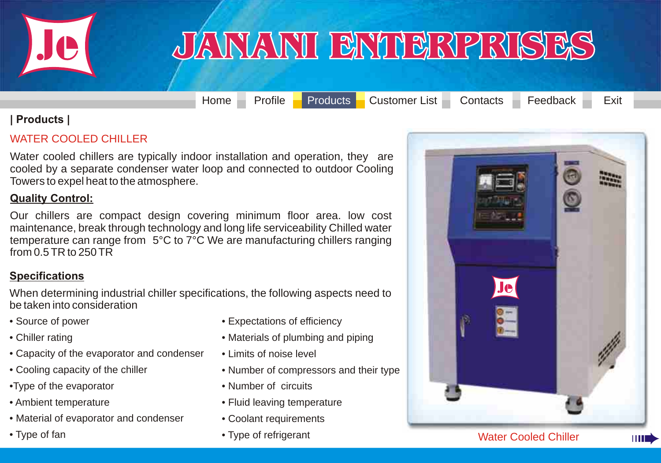<span id="page-17-0"></span>

[Home](#page-0-0) [Profile](#page-1-0) [Products](#page-2-0) [Customer List](#page-33-0) [Contacts](#page-35-0) [Feedback](#page-36-0) Exit

#### **| Products |**

#### WATER COOLED CHILLER

[Water cooled chillers are typically indoor installation and operation, they are](#page-17-0)  cooled by a separate condenser water loop and connected to outdoor Cooling Towers to expel heat to the atmosphere.

#### **Quality Control:**

Our chillers are compact design covering minimum floor area. low cost maintenance, break through technology and long life serviceability Chilled water temperature can range from 5°C to 7°C We are manufacturing chillers ranging from 0.5 TR to 250 TR

#### **Specifications**

When determining industrial chiller specifications, the following aspects need to be taken into consideration

- Source of power
- Chiller rating
- Capacity of the evaporator and condenser
- Cooling capacity of the chiller
- •Type of the evaporator
- Ambient temperature
- Material of evaporator and condenser
- Type of fan
- Expectations of efficiency
- Materials of plumbing and piping
- Limits of noise level
- Number of compressors and their type
- Number of circuits
- Fluid leaving temperature
- Coolant requirements
- Type of refrigerant

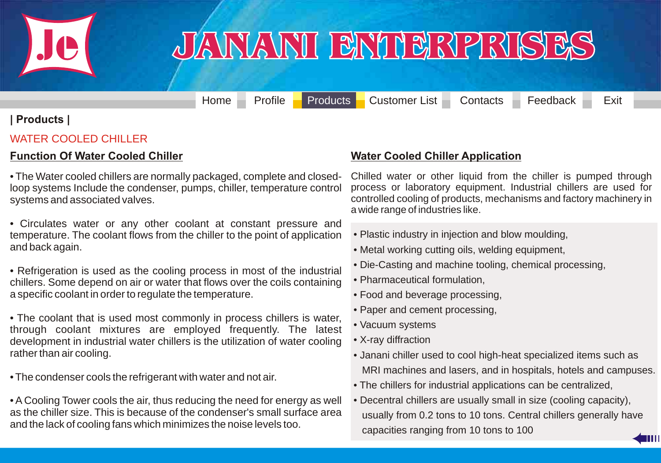<span id="page-18-0"></span>

### JANANI BNIBRPRISES

[Home](#page-0-0) [Profile](#page-1-0) [Products](#page-2-0) [Customer List](#page-33-0) [Contacts](#page-35-0) [Feedback](#page-36-0) Exit

#### **| Products |**

#### WATER COOLED CHILLER

#### **Function Of Water Cooled Chiller**

• The Water cooled chillers are normally packaged, complete and closedloop systems Include the condenser, pumps, chiller, temperature control systems and associated valves.

• Circulates water or any other coolant at constant pressure and temperature. The coolant flows from the chiller to the point of application and back again.

• Refrigeration is used as the cooling process in most of the industrial chillers. Some depend on air or water that flows over the coils containing a specific coolant in order to regulate the temperature.

• The coolant that is used most commonly in process chillers is water, [through coolant mixtures are employed frequently. The latest](#page-18-0)  development in industrial water chillers is the utilization of water cooling rather than air cooling.

• The condenser cools the refrigerant with water and not air.

• A Cooling Tower cools the air, thus reducing the need for energy as well as the chiller size. This is because of the condenser's small surface area and the lack of cooling fans which minimizes the noise levels too.

#### **Water Cooled Chiller Application**

Chilled water or other liquid from the chiller is pumped through process or laboratory equipment. Industrial chillers are used for controlled cooling of products, mechanisms and factory machinery in a wide range of industries like.

- Plastic industry in injection and blow moulding,
- Metal working cutting oils, welding equipment,
- Die-Casting and machine tooling, chemical processing,
- Pharmaceutical formulation,
- Food and beverage processing,
- Paper and cement processing,
- Vacuum systems
- X-ray diffraction
- Janani chiller used to cool high-heat specialized items such as MRI machines and lasers, and in hospitals, hotels and campuses.
- The chillers for industrial applications can be centralized,
- Decentral chillers are usually small in size (cooling capacity), usually from 0.2 tons to 10 tons. Central chillers generally have capacities ranging from 10 tons to 100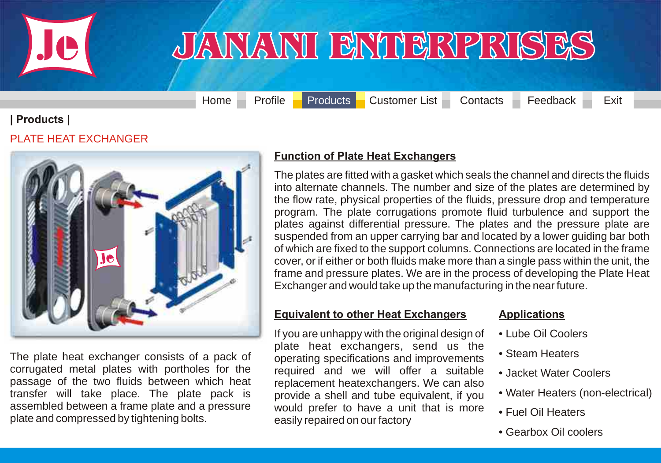<span id="page-19-0"></span>

[Home](#page-0-0) [Profile](#page-1-0) [Products](#page-2-0) [Customer List](#page-33-0) [Contacts](#page-35-0) [Feedback](#page-36-0) Exit

**| Products |**

PLATE HEAT EXCHANGER



The plate heat exchanger consists of a pack of corrugated metal plates with portholes for the passage of the two fluids between which heat transfer will take place. The plate pack is assembled between a frame plate and a pressure plate and compressed by tightening bolts.

#### **Function of Plate Heat Exchangers**

The plates are fitted with a gasket which seals the channel and directs the fluids into alternate channels. The number and size of the plates are determined by [the flow rate, physical properties of the fluids, pressure drop and temperature](#page-19-0)  program. The plate corrugations promote fluid turbulence and support the plates against differential pressure. The plates and the pressure plate are suspended from an upper carrying bar and located by a lower guiding bar both of which are fixed to the support columns. Connections are located in the frame cover, or if either or both fluids make more than a single pass within the unit, the frame and pressure plates. We are in the process of developing the Plate Heat Exchanger and would take up the manufacturing in the near future.

#### **Equivalent to other Heat Exchangers**

If you are unhappy with the original design of plate heat exchangers, send us the operating specifications and improvements required and we will offer a suitable replacement heatexchangers. We can also provide a shell and tube equivalent, if you would prefer to have a unit that is more easily repaired on our factory

#### **Applications**

- Lube Oil Coolers
- Steam Heaters
- Jacket Water Coolers
- Water Heaters (non-electrical)
- Fuel Oil Heaters
- Gearbox Oil coolers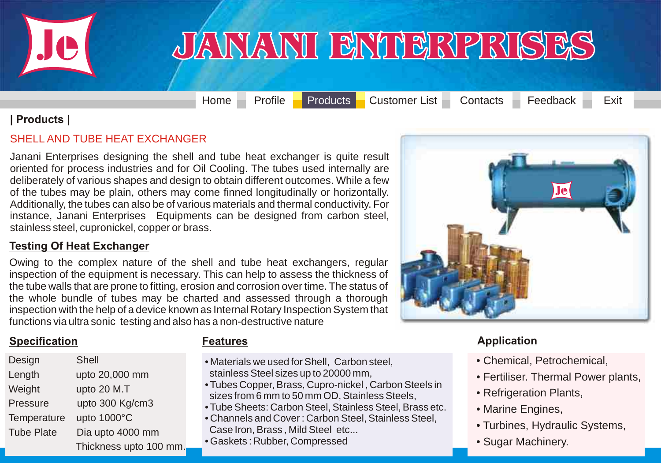<span id="page-20-0"></span>

[Home](#page-0-0) [Profile](#page-1-0) [Products](#page-2-0) [Customer List](#page-33-0) [Contacts](#page-35-0) [Feedback](#page-36-0) Exit

#### **| Products |**

#### SHELL AND TUBE HEAT EXCHANGER

Janani Enterprises designing the shell and tube heat exchanger is quite result [oriented for process industries and for Oil Cooling. The tubes used internally are](#page-20-0)  deliberately of various shapes and design to obtain different outcomes. While a few of the tubes may be plain, others may come finned longitudinally or horizontally. Additionally, the tubes can also be of various materials and thermal conductivity. For instance, Janani Enterprises Equipments can be designed from carbon steel, stainless steel, cupronickel, copper or brass.

#### **Testing Of Heat Exchanger**

Owing to the complex nature of the shell and tube heat exchangers, regular inspection of the equipment is necessary. This can help to assess the thickness of the tube walls that are prone to fitting, erosion and corrosion over time. The status of the whole bundle of tubes may be charted and assessed through a thorough inspection with the help of a device known as Internal Rotary Inspection System that functions via ultra sonic testing and also has a non-destructive nature

#### **Specification Features CONSIDERED EXAMPLE Application** *Application* **<b>Application**

| Design            | Shell                  |
|-------------------|------------------------|
| Length            | upto 20,000 mm         |
| Weight            | upto 20 M.T            |
| Pressure          | upto 300 Kg/cm3        |
| Temperature       | upto 1000°C            |
| <b>Tube Plate</b> | Dia upto 4000 mm       |
|                   | Thickness upto 100 mm. |

- Materials we used for Shell, Carbon steel, stainless Steel sizes up to 20000 mm,
- Tubes Copper, Brass, Cupro-nickel , Carbon Steels in sizes from 6 mm to 50 mm OD, Stainless Steels,
- Tube Sheets: Carbon Steel, Stainless Steel, Brass etc.
- Channels and Cover : Carbon Steel, Stainless Steel,
- Case Iron, Brass , Mild Steel etc...
- Gaskets : Rubber, Compressed

- Chemical, Petrochemical,
- Fertiliser. Thermal Power plants,
- Refrigeration Plants,
- Marine Engines,
- Turbines, Hydraulic Systems,
- Sugar Machinery.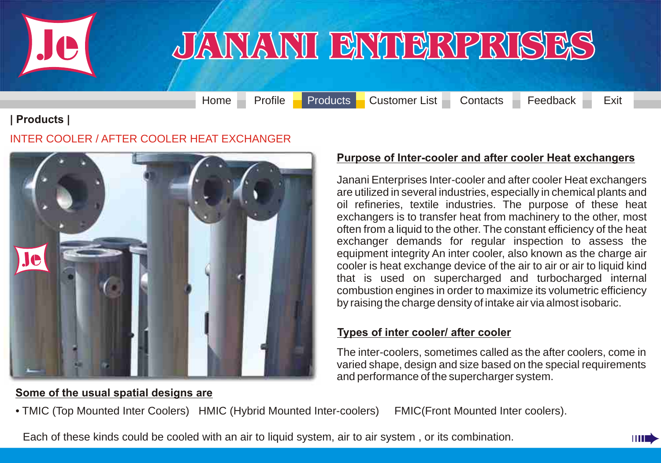<span id="page-21-0"></span>

[Home](#page-0-0) [Profile](#page-1-0) [Products](#page-2-0) [Customer List](#page-33-0) [Contacts](#page-35-0) [Feedback](#page-36-0) Exit

#### **| Products |**

#### INTER COOLER / AFTER COOLER HEAT EXCHANGER



#### **Purpose of Inter-cooler and after cooler Heat exchangers**

Janani Enterprises Inter-cooler and after cooler Heat exchangers are utilized in several industries, especially in chemical plants and oil refineries, textile industries. The purpose of these heat exchangers is to transfer heat from machinery to the other, most often from a liquid to the other. The constant efficiency of the heat exchanger demands for regular inspection to assess the equipment integrity An inter cooler, also known as the charge air cooler is heat exchange device of the air to air or air to liquid kind that is used on supercharged and turbocharged internal combustion engines in order to maximize its volumetric efficiency by raising the charge density of intake air via almost isobaric.

#### **Types of inter cooler/ after cooler**

The inter-coolers, sometimes called as the after coolers, come in varied shape, design and size based on the special requirements and performance of the supercharger system.

#### **Some of the usual spatial designs are**

[• TMIC \(Top Mounted Inter Coolers\) HMIC \(Hybrid Mounted Inter-coolers\) FMIC\(Front Mounted Inter coolers\).](#page-21-0)

Each of these kinds could be cooled with an air to liquid system, air to air system , or its combination.

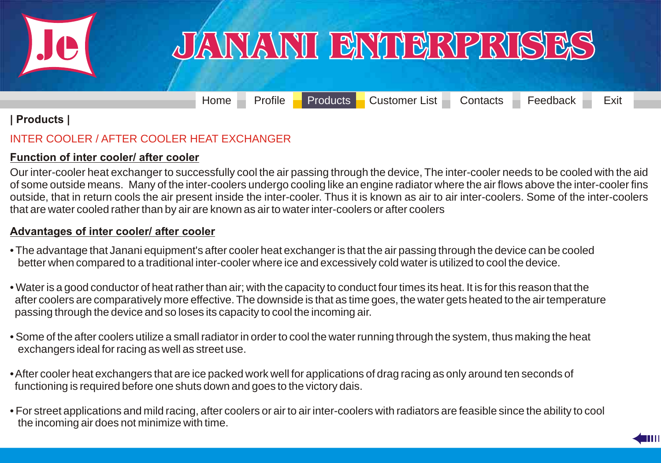<span id="page-22-0"></span>

[Home](#page-0-0) [Profile](#page-1-0) [Products](#page-2-0) [Customer List](#page-33-0) [Contacts](#page-35-0) [Feedback](#page-36-0) Exit

#### **| Products |**

#### INTER COOLER / AFTER COOLER HEAT EXCHANGER

#### **Function of inter cooler/ after cooler**

Our inter-cooler heat exchanger to successfully cool the air passing through the device, The inter-cooler needs to be cooled with the aid of some outside means. Many of the inter-coolers undergo cooling like an engine radiator where the air flows above the inter-cooler fins [outside, that in return cools the air present inside the inter-cooler. Thus it is known as air to air inter-coolers. Some of the inter-coolers](#page-22-0)  that are water cooled rather than by air are known as air to water inter-coolers or after coolers

#### **Advantages of inter cooler/ after cooler**

- The advantage that Janani equipment's after cooler heat exchanger is that the air passing through the device can be cooled better when compared to a traditional inter-cooler where ice and excessively cold water is utilized to cool the device.
- Water is a good conductor of heat rather than air; with the capacity to conduct four times its heat. It is for this reason that the after coolers are comparatively more effective. The downside is that as time goes, the water gets heated to the air temperature passing through the device and so loses its capacity to cool the incoming air.
- Some of the after coolers utilize a small radiator in order to cool the water running through the system, thus making the heat exchangers ideal for racing as well as street use.
- After cooler heat exchangers that are ice packed work well for applications of drag racing as only around ten seconds of functioning is required before one shuts down and goes to the victory dais.
- For street applications and mild racing, after coolers or air to air inter-coolers with radiators are feasible since the ability to cool the incoming air does not minimize with time.

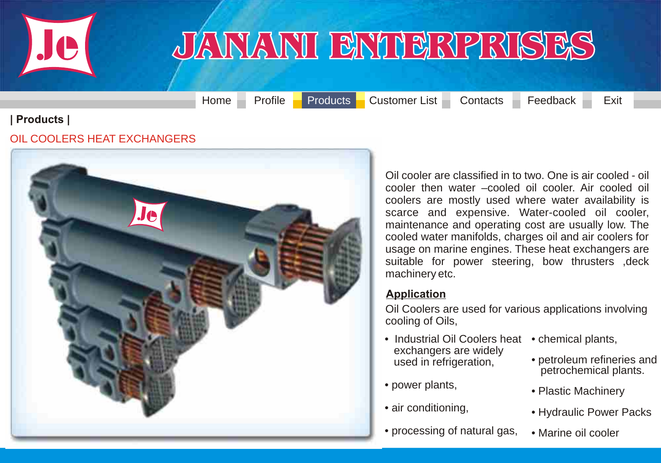<span id="page-23-0"></span>

[Home](#page-0-0) [Profile](#page-1-0) [Products](#page-2-0) [Customer List](#page-33-0) [Contacts](#page-35-0) [Feedback](#page-36-0) Exit

#### **| Products |**

#### OIL COOLERS HEAT EXCHANGERS



Oil cooler are classified in to two. One is air cooled - oil cooler then water –cooled oil cooler. Air cooled oil coolers are mostly used where water availability is [scarce and expensive. Water-cooled oil cooler,](#page-23-0)  maintenance and operating cost are usually low. The cooled water manifolds, charges oil and air coolers for usage on marine engines. These heat exchangers are suitable for power steering, bow thrusters , deck machinery etc.

#### **Application**

Oil Coolers are used for various applications involving cooling of Oils,

- Industrial Oil Coolers heat chemical plants, exchangers are widely used in refrigeration,
- power plants,
- air conditioning,
- processing of natural gas,
- 
- petroleum refineries and petrochemical plants.
- Plastic Machinery
- Hydraulic Power Packs
- Marine oil cooler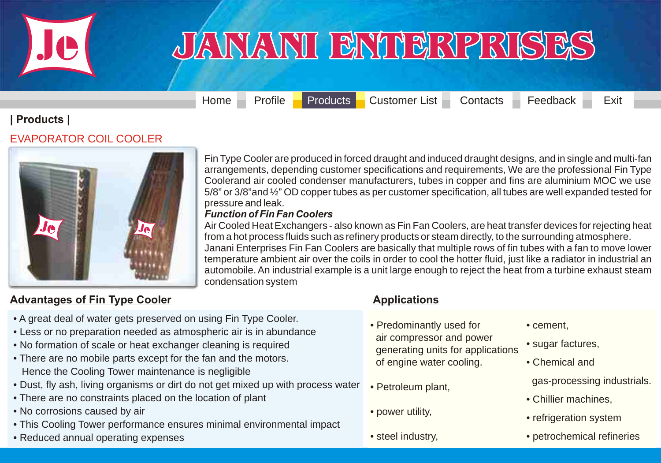<span id="page-24-0"></span>

[Home](#page-0-0) [Profile](#page-1-0) [Products](#page-2-0) [Customer List](#page-33-0) [Contacts](#page-35-0) [Feedback](#page-36-0) Exit

#### **| Products |**

#### EVAPORATOR COIL COOLER



Fin Type Cooler are produced in forced draught and induced draught designs, and in single and multi-fan arrangements, depending customer specifications and requirements, We are the professional Fin Type Coolerand air cooled condenser manufacturers, tubes in copper and fins are aluminium MOC we use [5/8" or 3/8"and ½" OD copper tubes as per customer specification, all tubes are well expanded tested for](#page-24-0)  pressure and leak.

#### *Function of Fin Fan Coolers*

Air Cooled Heat Exchangers - also known as Fin Fan Coolers, are heat transfer devices for rejecting heat from a hot process fluids such as refinery products or steam directly, to the surrounding atmosphere. Janani Enterprises Fin Fan Coolers are basically that multiple rows of fin tubes with a fan to move lower temperature ambient air over the coils in order to cool the hotter fluid, just like a radiator in industrial an automobile. An industrial example is a unit large enough to reject the heat from a turbine exhaust steam condensation system

#### **Advantages of Fin Type Cooler**

- A great deal of water gets preserved on using Fin Type Cooler.
- Less or no preparation needed as atmospheric air is in abundance
- No formation of scale or heat exchanger cleaning is required
- There are no mobile parts except for the fan and the motors. Hence the Cooling Tower maintenance is negligible
- Dust, fly ash, living organisms or dirt do not get mixed up with process water
- There are no constraints placed on the location of plant
- No corrosions caused by air
- This Cooling Tower performance ensures minimal environmental impact
- Reduced annual operating expenses

#### **Applications**

- Predominantly used for air compressor and power generating units for applications of engine water cooling.
- Petroleum plant,
- power utility,
- steel industry,
- cement,
- sugar factures,
- Chemical and
- gas-processing industrials.
- Chillier machines,
- refrigeration system
- petrochemical refineries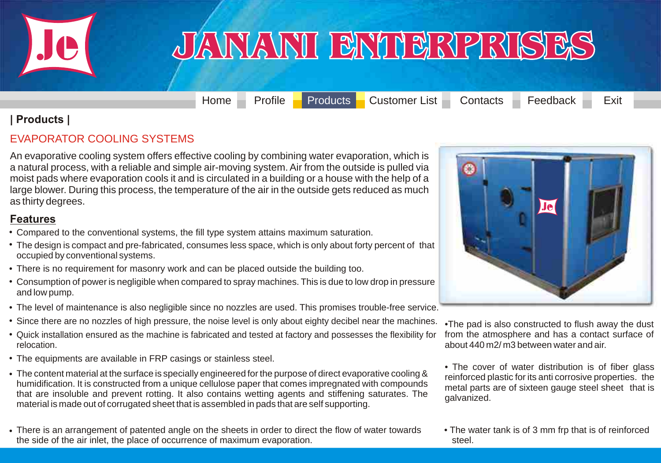<span id="page-25-0"></span>

[Home](#page-0-0) [Profile](#page-1-0) [Products](#page-2-0) [Customer List](#page-33-0) [Contacts](#page-35-0) [Feedback](#page-36-0) Exit

#### **| Products |**

#### EVAPORATOR COOLING SYSTEMS

[An evaporative cooling system offers effective cooling by combining water evaporation, which is](#page-25-0)  a natural process, with a reliable and simple air-moving system. Air from the outside is pulled via moist pads where evaporation cools it and is circulated in a building or a house with the help of a large blower. During this process, the temperature of the air in the outside gets reduced as much as thirty degrees.

#### **Features**

- Compared to the conventional systems, the fill type system attains maximum saturation.
- The design is compact and pre-fabricated, consumes less space, which is only about forty percent of that occupied by conventional systems.
- There is no requirement for masonry work and can be placed outside the building too.
- Consumption of power is negligible when compared to spray machines. This is due to low drop in pressure and low pump.
- The level of maintenance is also negligible since no nozzles are used. This promises trouble-free service.
- Since there are no nozzles of high pressure, the noise level is only about eighty decibel near the machines.
- Quick installation ensured as the machine is fabricated and tested at factory and possesses the flexibility for relocation.
- The equipments are available in FRP casings or stainless steel. •
- The content material at the surface is specially engineered for the purpose of direct evaporative cooling & humidification. It is constructed from a unique cellulose paper that comes impregnated with compounds that are insoluble and prevent rotting. It also contains wetting agents and stiffening saturates. The material is made out of corrugated sheet that is assembled in pads that are self supporting.
- There is an arrangement of patented angle on the sheets in order to direct the flow of water towards the side of the air inlet, the place of occurrence of maximum evaporation.



•The pad is also constructed to flush away the dust from the atmosphere and has a contact surface of about 440 m2/ m3 between water and air.

• The cover of water distribution is of fiber glass reinforced plastic for its anti corrosive properties. the metal parts are of sixteen gauge steel sheet that is galvanized.

• The water tank is of 3 mm frp that is of reinforced steel.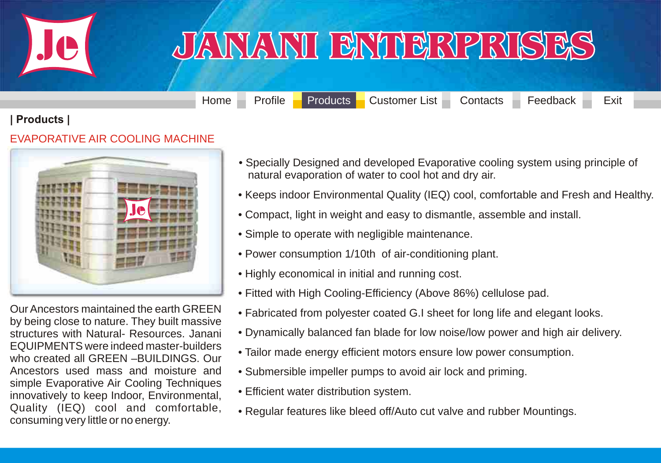<span id="page-26-0"></span>

### <u>JANJANI BNIBRPRISES</u>

[Home](#page-0-0) [Profile](#page-1-0) [Products](#page-2-0) [Customer List](#page-33-0) [Contacts](#page-35-0) [Feedback](#page-36-0) Exit

#### **| Products |**

#### EVAPORATIVE AIR COOLING MACHINE



Our Ancestors maintained the earth GREEN by being close to nature. They built massive structures with Natural- Resources. Janani EQUIPMENTS were indeed master-builders who created all GREEN –BUILDINGS. Our Ancestors used mass and moisture and simple Evaporative Air Cooling Techniques innovatively to keep Indoor, Environmental, Quality (IEQ) cool and comfortable, consuming very little or no energy.

- Specially Designed and developed Evaporative cooling system using principle of natural evaporation of water to cool hot and dry air.
- [Keeps indoor Environmental Quality \(IEQ\) cool, comfortable and Fresh and Healthy.](#page-26-0)
- Compact, light in weight and easy to dismantle, assemble and install.
- Simple to operate with negligible maintenance.
- Power consumption 1/10th of air-conditioning plant.
- Highly economical in initial and running cost.
- Fitted with High Cooling-Efficiency (Above 86%) cellulose pad.
- Fabricated from polyester coated G.I sheet for long life and elegant looks.
- Dynamically balanced fan blade for low noise/low power and high air delivery.
- Tailor made energy efficient motors ensure low power consumption.
- Submersible impeller pumps to avoid air lock and priming.
- Efficient water distribution system.
- Regular features like bleed off/Auto cut valve and rubber Mountings.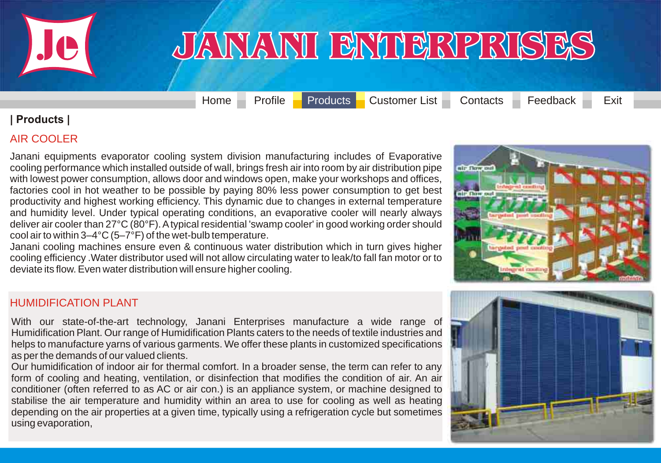<span id="page-27-0"></span>

[Home](#page-0-0) [Profile](#page-1-0) [Products](#page-2-0) [Customer List](#page-33-0) [Contacts](#page-35-0) [Feedback](#page-36-0) Exit

#### **| Products |**

#### AIR COOLER

[Janani equipments evaporator cooling system division manufacturing includes of Evaporative](#page-27-0)  cooling performance which installed outside of wall, brings fresh air into room by air distribution pipe with lowest power consumption, allows door and windows open, make your workshops and offices, factories cool in hot weather to be possible by paying 80% less power consumption to get best productivity and highest working efficiency. This dynamic due to changes in external temperature and humidity level. Under typical operating conditions, an evaporative cooler will nearly always deliver air cooler than 27°C (80°F). A typical residential 'swamp cooler' in good working order should cool air to within 3–4°C (5–7°F) of the wet-bulb temperature.

Janani cooling machines ensure even & continuous water distribution which in turn gives higher cooling efficiency .Water distributor used will not allow circulating water to leak/to fall fan motor or to deviate its flow. Even water distribution will ensure higher cooling.

# air flow o air flow out

#### HUMIDIFICATION PLANT

With our state-of-the-art technology, Janani Enterprises manufacture a wide range of Humidification Plant. Our range of Humidification Plants caters to the needs of textile industries and helps to manufacture yarns of various garments. We offer these plants in customized specifications as per the demands of our valued clients.

Our humidification of indoor air for thermal comfort. In a broader sense, the term can refer to any form of cooling and heating, ventilation, or disinfection that modifies the condition of air. An air conditioner (often referred to as AC or air con.) is an appliance system, or machine designed to stabilise the air temperature and humidity within an area to use for cooling as well as heating depending on the air properties at a given time, typically using a refrigeration cycle but sometimes using evaporation,

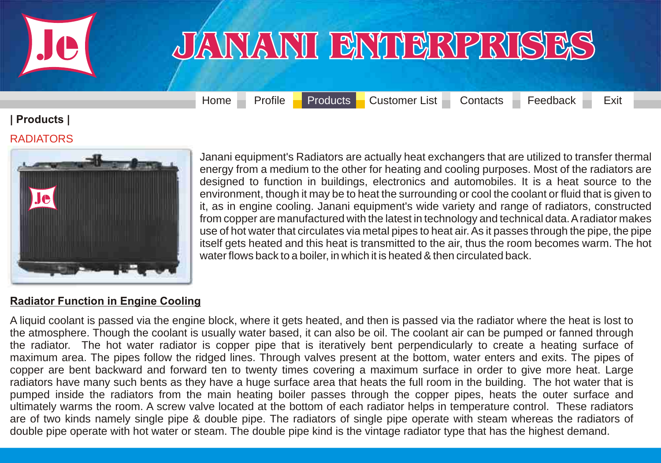<span id="page-28-0"></span>

[Home](#page-0-0) [Profile](#page-1-0) [Products](#page-2-0) [Customer List](#page-33-0) [Contacts](#page-35-0) [Feedback](#page-36-0) Exit

### **| Products |**

#### RADIATORS



Janani equipment's Radiators are actually heat exchangers that are utilized to transfer thermal energy from a medium to the other for heating and cooling purposes. Most of the radiators are designed to function in buildings, electronics and automobiles. It is a heat source to the environment, though it may be to heat the surrounding or cool the coolant or fluid that is given to it, as in engine cooling. Janani equipment's wide variety and range of radiators, constructed from copper are manufactured with the latest in technology and technical data. A radiator makes use of hot water that circulates via metal pipes to heat air. As it passes through the pipe, the pipe itself gets heated and this heat is transmitted to the air, thus the room becomes warm. The hot water flows back to a boiler, in which it is heated & then circulated back.

#### **Radiator Function in Engine Cooling**

A liquid coolant is passed via the engine block, where it gets heated, and then is passed via the radiator where the heat is lost to the atmosphere. Though the coolant is usually water based, it can also be oil. The coolant air can be pumped or fanned through the radiator. The hot water radiator is copper pipe that is iteratively bent perpendicularly to create a heating surface of maximum area. The pipes follow the ridged lines. Through valves present at the bottom, water enters and exits. The pipes of copper are bent backward and forward ten to twenty times covering a maximum surface in order to give more heat. Large [radiators have many such bents as they have a huge surface area that heats the full room in the building. The hot water that is](#page-28-0)  pumped inside the radiators from the main heating boiler passes through the copper pipes, heats the outer surface and ultimately warms the room. A screw valve located at the bottom of each radiator helps in temperature control. These radiators are of two kinds namely single pipe & double pipe. The radiators of single pipe operate with steam whereas the radiators of double pipe operate with hot water or steam. The double pipe kind is the vintage radiator type that has the highest demand.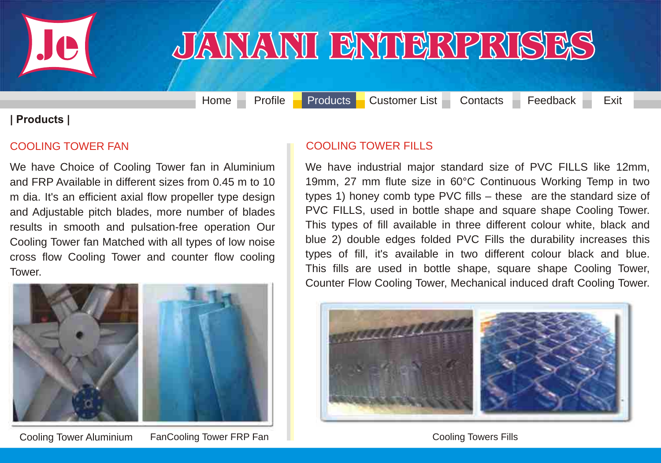<span id="page-29-0"></span>

### JANANI BNIBRPRISES

[Home](#page-0-0) [Profile](#page-1-0) [Products](#page-2-0) [Customer List](#page-33-0) [Contacts](#page-35-0) [Feedback](#page-36-0) Exit

#### **| Products |**

#### COOLING TOWER FAN

We have Choice of Cooling Tower fan in Aluminium and FRP Available in different sizes from 0.45 m to 10 m dia. It's an efficient axial flow propeller type design and Adjustable pitch blades, more number of blades results in smooth and pulsation-free operation Our Cooling Tower fan Matched with all types of low noise cross flow Cooling Tower and counter flow cooling Tower.



#### COOLING TOWER FILLS

We have industrial major standard size of PVC FILLS like 12mm, [19mm, 27 mm flute size in 60°C Continuous Working Temp in two](#page-29-0)  types 1) honey comb type PVC fills – these are the standard size of PVC FILLS, used in bottle shape and square shape Cooling Tower. This types of fill available in three different colour white, black and blue 2) double edges folded PVC Fills the durability increases this types of fill, it's available in two different colour black and blue. This fills are used in bottle shape, square shape Cooling Tower, Counter Flow Cooling Tower, Mechanical induced draft Cooling Tower.



#### Cooling Towers Fills

Cooling Tower Aluminium FanCooling Tower FRP Fan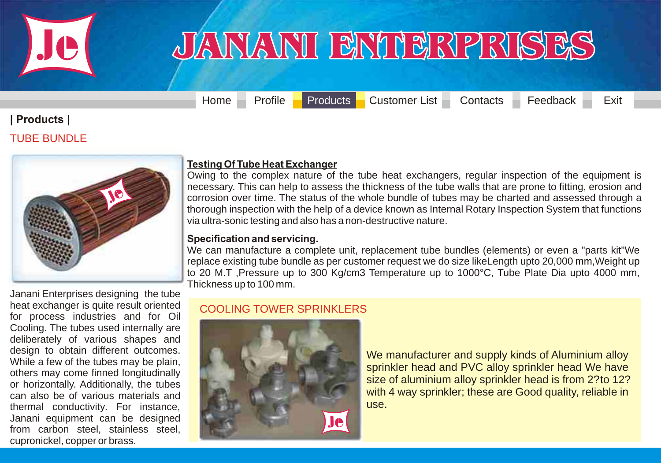<span id="page-30-0"></span>

[Home](#page-0-0) [Profile](#page-1-0) [Products](#page-2-0) [Customer List](#page-33-0) [Contacts](#page-35-0) [Feedback](#page-36-0) Exit

### **| Products |**

#### TUBE BUNDLE



#### **Testing Of Tube Heat Exchanger**

Owing to the complex nature of the tube heat exchangers, regular inspection of the equipment is necessary. This can help to assess the thickness of the tube walls that are prone to fitting, erosion and [corrosion over time. The status of the whole bundle of tubes may be charted and assessed through a](#page-30-0)  thorough inspection with the help of a device known as Internal Rotary Inspection System that functions via ultra-sonic testing and also has a non-destructive nature.

#### **Specification and servicing.**

We can manufacture a complete unit, replacement tube bundles (elements) or even a "parts kit"We replace existing tube bundle as per customer request we do size likeLength upto 20,000 mm,Weight up to 20 M.T ,Pressure up to 300 Kg/cm3 Temperature up to 1000°C, Tube Plate Dia upto 4000 mm, Thickness up to 100 mm.

Janani Enterprises designing the tube heat exchanger is quite result oriented for process industries and for Oil Cooling. The tubes used internally are deliberately of various shapes and design to obtain different outcomes. While a few of the tubes may be plain, others may come finned longitudinally or horizontally. Additionally, the tubes can also be of various materials and thermal conductivity. For instance, Janani equipment can be designed from carbon steel, stainless steel, cupronickel, copper or brass.

#### COOLING TOWER SPRINKLERS



We manufacturer and supply kinds of Aluminium alloy sprinkler head and PVC alloy sprinkler head We have size of aluminium alloy sprinkler head is from 2? to 12? with 4 way sprinkler; these are Good quality, reliable in use.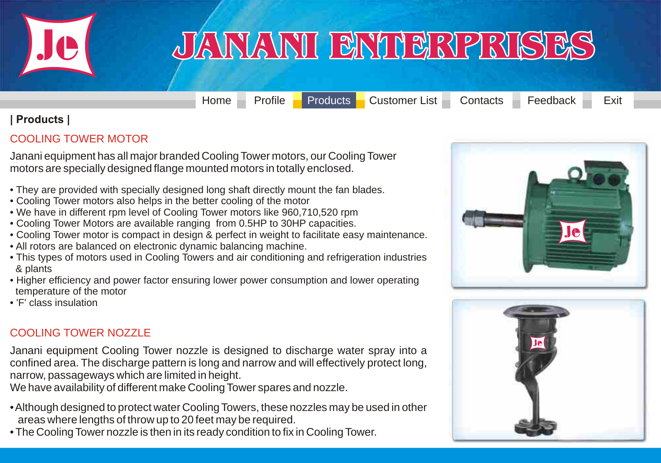<span id="page-31-0"></span>

[Home](#page-0-0) [Profile](#page-1-0) [Products](#page-2-0) [Customer List](#page-33-0) [Contacts](#page-35-0) [Feedback](#page-36-0) Exit

#### **| Products |**

#### COOLING TOWER MOTOR

Janani equipment has all major branded Cooling Tower motors, our Cooling Tower motors are specially designed flange mounted motors in totally enclosed.

- They are provided with specially designed long shaft directly mount the fan blades.
- Cooling Tower motors also helps in the better cooling of the motor
- We have in different rpm level of Cooling Tower motors like 960,710,520 rpm
- Cooling Tower Motors are available ranging from 0.5HP to 30HP capacities.
- Cooling Tower motor is compact in design & perfect in weight to facilitate easy maintenance.
- All rotors are balanced on electronic dynamic balancing machine.
- This types of motors used in Cooling Towers and air conditioning and refrigeration industries & plants
- Higher efficiency and power factor ensuring lower power consumption and lower operating temperature of the motor
- 'F' class insulation

#### COOLING TOWER NOZZLE

Janani equipment Cooling Tower nozzle is designed to discharge water spray into a [confined area. The discharge pattern is long and narrow and will effectively protect long,](#page-31-0)  narrow, passageways which are limited in height.

We have availability of different make Cooling Tower spares and nozzle.

- Although designed to protect water Cooling Towers, these nozzles may be used in other areas where lengths of throw up to 20 feet may be required.
- The Cooling Tower nozzle is then in its ready condition to fix in Cooling Tower.



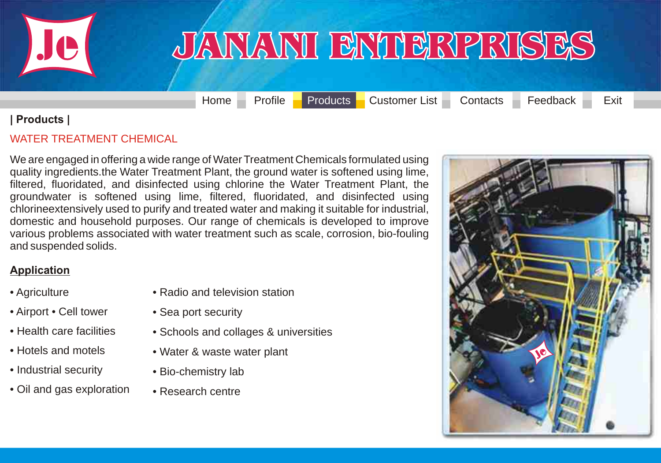<span id="page-32-0"></span>

[Home](#page-0-0) [Profile](#page-1-0) [Products](#page-2-0) [Customer List](#page-33-0) [Contacts](#page-35-0) [Feedback](#page-36-0) Exit

#### **| Products |**

#### WATER TREATMENT CHEMICAL

We are engaged in offering a wide range of Water Treatment Chemicals formulated using [quality ingredients.the Water Treatment Plant, the ground water is softened using lime,](#page-32-0)  filtered, fluoridated, and disinfected using chlorine the Water Treatment Plant, the groundwater is softened using lime, filtered, fluoridated, and disinfected using chlorineextensively used to purify and treated water and making it suitable for industrial, domestic and household purposes. Our range of chemicals is developed to improve various problems associated with water treatment such as scale, corrosion, bio-fouling and suspended solids.

#### **Application**

- Agriculture
- Airport Cell tower
- Health care facilities
- Hotels and motels
- Industrial security
- Oil and gas exploration
- Radio and television station
- Sea port security
- Schools and collages & universities
- Water & waste water plant
- Bio-chemistry lab
- Research centre

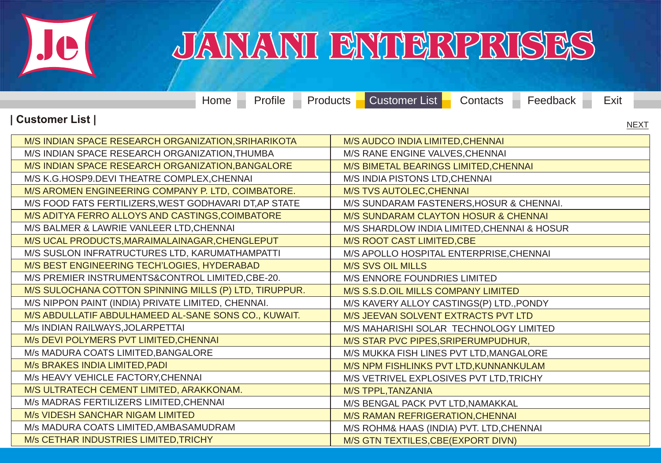<span id="page-33-0"></span>

M/s CETHAR INDUSTRIES LIMITED,TRICHY

### JANANI BNIBRPRISES

M/S GTN TEXTILES,CBE(EXPORT DIVN)

[Home](#page-0-0) [Profile](#page-1-0) [Products](#page-2-0) [Customer List](#page-33-0) [Contacts](#page-35-0) [Feedback](#page-36-0) Exit **| Customer List |** M/S INDIAN SPACE RESEARCH ORGANIZATION,SRIHARIKOTA M/S INDIAN SPACE RESEARCH ORGANIZATION,THUMBA M/S INDIAN SPACE RESEARCH ORGANIZATION,BANGALORE M/S K.G.HOSP9.DEVI THEATRE COMPLEX,CHENNAI M/S AROMEN ENGINEERING COMPANY P. LTD, COIMBATORE. M/S FOOD FATS FERTILIZERS,WEST GODHAVARI DT,AP STATE M/S ADITYA FERRO ALLOYS AND CASTINGS,COIMBATORE M/S BALMER & LAWRIE VANLEER LTD,CHENNAI M/S UCAL PRODUCTS,MARAIMALAINAGAR,CHENGLEPUT M/S SUSLON INFRATRUCTURES LTD, KARUMATHAMPATTI M/S BEST ENGINEERING TECH'LOGIES, HYDERABAD M/S PREMIER INSTRUMENTS&CONTROL LIMITED,CBE-20. [M/S SULOCHANA COTTON SPINNING MILLS \(P\) LTD, TIRUPPUR.](#page-33-0) M/S NIPPON PAINT (INDIA) PRIVATE LIMITED, CHENNAI. M/S ABDULLATIF ABDULHAMEED AL-SANE SONS CO., KUWAIT. M/s INDIAN RAILWAYS,JOLARPETTAI M/s DEVI POLYMERS PVT LIMITED,CHENNAI M/s MADURA COATS LIMITED,BANGALORE M/s BRAKES INDIA LIMITED,PADI M/s HEAVY VEHICLE FACTORY,CHENNAI M/S ULTRATECH CEMENT LIMITED, ARAKKONAM. M/s MADRAS FERTILIZERS LIMITED,CHENNAI M/s VIDESH SANCHAR NIGAM LIMITED M/s MADURA COATS LIMITED,AMBASAMUDRAM M/S AUDCO INDIA LIMITED,CHENNAI M/S RANE ENGINE VALVES,CHENNAI M/S BIMETAL BEARINGS LIMITED,CHENNAI M/S INDIA PISTONS LTD,CHENNAI M/S TVS AUTOLEC,CHENNAI M/S SUNDARAM FASTENERS,HOSUR & CHENNAI. M/S SUNDARAM CLAYTON HOSUR & CHENNAI M/S SHARDLOW INDIA LIMITED,CHENNAI & HOSUR M/S ROOT CAST LIMITED,CBE M/S APOLLO HOSPITAL ENTERPRISE,CHENNAI M/S SVS OIL MILLS M/S ENNORE FOUNDRIES LIMITED M/S S.S.D.OIL MILLS COMPANY LIMITED M/S KAVERY ALLOY CASTINGS(P) LTD.,PONDY M/S JEEVAN SOLVENT EXTRACTS PVT LTD M/S MAHARISHI SOLAR TECHNOLOGY LIMITED M/S STAR PVC PIPES,SRIPERUMPUDHUR, M/S MUKKA FISH LINES PVT LTD,MANGALORE M/S NPM FISHLINKS PVT LTD,KUNNANKULAM M/S VETRIVEL EXPLOSIVES PVT LTD,TRICHY M/S TPPL,TANZANIA M/S BENGAL PACK PVT LTD,NAMAKKAL M/S RAMAN REFRIGERATION,CHENNAI M/S ROHM& HAAS (INDIA) PVT. LTD,CHENNAI [NEXT](#page-34-0)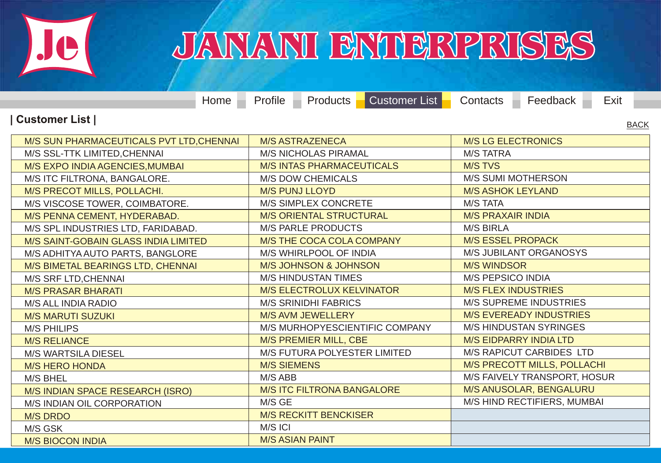<span id="page-34-0"></span>

|                                          | $Home$ $-$ | Profile –                         |                              | <b>Products Customer List</b>   | Contacts                       | Feedback $\overline{\phantom{a}}$ | Exit |  |
|------------------------------------------|------------|-----------------------------------|------------------------------|---------------------------------|--------------------------------|-----------------------------------|------|--|
| Customer List  <br><b>BACK</b>           |            |                                   |                              |                                 |                                |                                   |      |  |
| M/S SUN PHARMACEUTICALS PVT LTD, CHENNAI |            | <b>M/S ASTRAZENECA</b>            |                              | <b>M/S LG ELECTRONICS</b>       |                                |                                   |      |  |
| M/S SSL-TTK LIMITED, CHENNAI             |            | <b>M/S NICHOLAS PIRAMAL</b>       |                              | <b>M/S TATRA</b>                |                                |                                   |      |  |
| M/S EXPO INDIA AGENCIES, MUMBAI          |            | <b>M/S INTAS PHARMACEUTICALS</b>  |                              | <b>M/S TVS</b>                  |                                |                                   |      |  |
| M/S ITC FILTRONA, BANGALORE.             |            |                                   | <b>M/S DOW CHEMICALS</b>     |                                 | M/S SUMI MOTHERSON             |                                   |      |  |
| M/S PRECOT MILLS, POLLACHI.              |            | <b>M/S PUNJ LLOYD</b>             |                              |                                 | <b>M/S ASHOK LEYLAND</b>       |                                   |      |  |
| M/S VISCOSE TOWER, COIMBATORE.           |            | M/S SIMPLEX CONCRETE              |                              | <b>M/S TATA</b>                 |                                |                                   |      |  |
| M/S PENNA CEMENT, HYDERABAD.             |            | <b>M/S ORIENTAL STRUCTURAL</b>    |                              | <b>M/S PRAXAIR INDIA</b>        |                                |                                   |      |  |
| M/S SPL INDUSTRIES LTD, FARIDABAD.       |            | <b>M/S PARLE PRODUCTS</b>         |                              | <b>M/S BIRLA</b>                |                                |                                   |      |  |
| M/S SAINT-GOBAIN GLASS INDIA LIMITED     |            | M/S THE COCA COLA COMPANY         |                              | <b>M/S ESSEL PROPACK</b>        |                                |                                   |      |  |
| M/S ADHITYA AUTO PARTS, BANGLORE         |            | M/S WHIRLPOOL OF INDIA            |                              | <b>M/S JUBILANT ORGANOSYS</b>   |                                |                                   |      |  |
| M/S BIMETAL BEARINGS LTD, CHENNAI        |            | <b>M/S JOHNSON &amp; JOHNSON</b>  |                              | <b>M/S WINDSOR</b>              |                                |                                   |      |  |
| M/S SRF LTD, CHENNAI                     |            | <b>M/S HINDUSTAN TIMES</b>        |                              |                                 | <b>M/S PEPSICO INDIA</b>       |                                   |      |  |
| <b>M/S PRASAR BHARATI</b>                |            | <b>M/S ELECTROLUX KELVINATOR</b>  |                              | <b>M/S FLEX INDUSTRIES</b>      |                                |                                   |      |  |
| M/S ALL INDIA RADIO                      |            | <b>M/S SRINIDHI FABRICS</b>       |                              | <b>M/S SUPREME INDUSTRIES</b>   |                                |                                   |      |  |
| <b>M/S MARUTI SUZUKI</b>                 |            |                                   | M/S AVM JEWELLERY            |                                 | <b>M/S EVEREADY INDUSTRIES</b> |                                   |      |  |
| <b>M/S PHILIPS</b>                       |            |                                   |                              | M/S MURHOPYESCIENTIFIC COMPANY  | <b>M/S HINDUSTAN SYRINGES</b>  |                                   |      |  |
| <b>M/S RELIANCE</b>                      |            |                                   | <b>M/S PREMIER MILL, CBE</b> |                                 | <b>M/S EIDPARRY INDIA LTD</b>  |                                   |      |  |
| <b>M/S WARTSILA DIESEL</b>               |            | M/S FUTURA POLYESTER LIMITED      |                              | <b>M/S RAPICUT CARBIDES LTD</b> |                                |                                   |      |  |
| <b>M/S HERO HONDA</b>                    |            | <b>M/S SIEMENS</b>                |                              |                                 |                                | M/S PRECOTT MILLS, POLLACHI       |      |  |
| M/S BHEL                                 |            | M/S ABB                           |                              |                                 |                                | M/S FAIVELY TRANSPORT, HOSUR      |      |  |
| M/S INDIAN SPACE RESEARCH (ISRO)         |            | <b>M/S ITC FILTRONA BANGALORE</b> |                              |                                 | M/S ANUSOLAR, BENGALURU        |                                   |      |  |
| M/S INDIAN OIL CORPORATION               |            | M/S GE                            |                              |                                 | M/S HIND RECTIFIERS, MUMBAI    |                                   |      |  |
| <b>M/S DRDO</b>                          |            |                                   | <b>M/S RECKITT BENCKISER</b> |                                 |                                |                                   |      |  |
| M/S GSK                                  |            | M/S ICI                           |                              |                                 |                                |                                   |      |  |
| <b>M/S BIOCON INDIA</b>                  |            |                                   | <b>M/S ASIAN PAINT</b>       |                                 |                                |                                   |      |  |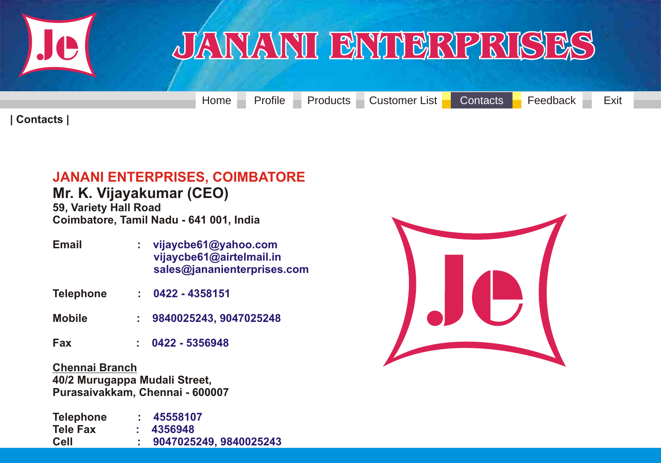<span id="page-35-0"></span>

[Home](#page-0-0) [Profile](#page-1-0) [Products](#page-2-0) [Customer List](#page-33-0) [Contacts](#page-35-0) [Feedback](#page-36-0) Exit

**| Contacts |**

### **[JANANI ENTERPRISES, COIMBATORE](#page-35-0)**

**Mr. K. Vijayakumar (CEO) 59, Variety Hall Road Coimbatore, Tamil Nadu - 641 001, India**

- **Email : vijaycbe61@yahoo.com vijaycbe61@airtelmail.in sales@jananienterprises.com**
- **Telephone : 0422 - 4358151**
- **Mobile : 9840025243, 9047025248**
- **Fax : 0422 - 5356948**

**Chennai Branch 40/2 Murugappa Mudali Street, Purasaivakkam, Chennai - 600007**

**Telephone : Tele Fax Cell : 45558107 : 4356948 9047025249, 9840025243**